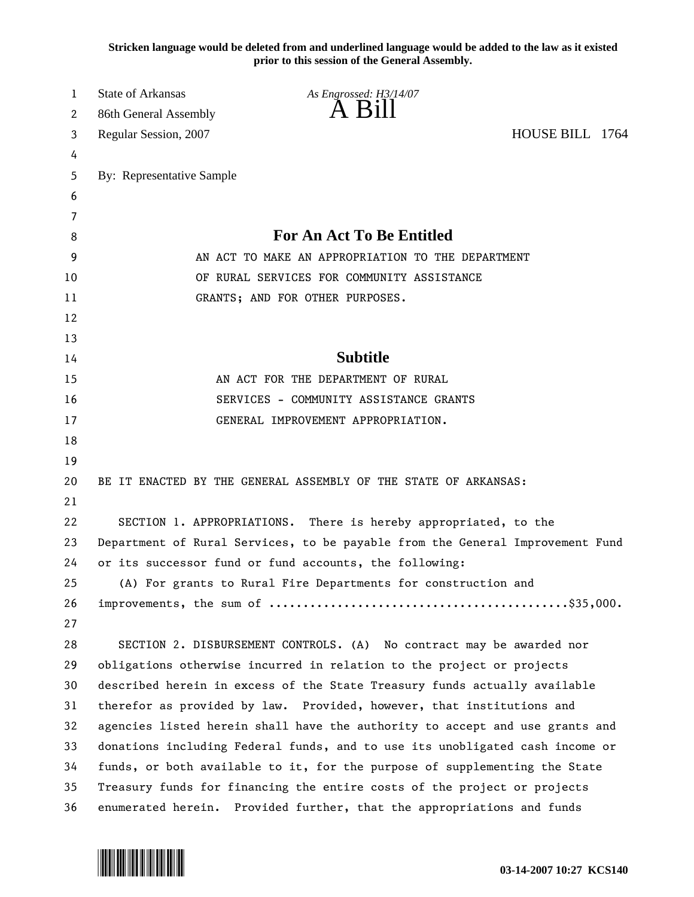**Stricken language would be deleted from and underlined language would be added to the law as it existed prior to this session of the General Assembly.**

| 1  | State of Arkansas                                 | As Engrossed: H3/14/07                                                        |                 |  |
|----|---------------------------------------------------|-------------------------------------------------------------------------------|-----------------|--|
| 2  | 86th General Assembly                             | $\overline{A}$ $\overline{B}1$                                                |                 |  |
| 3  | Regular Session, 2007                             |                                                                               | HOUSE BILL 1764 |  |
| 4  |                                                   |                                                                               |                 |  |
| 5  | By: Representative Sample                         |                                                                               |                 |  |
| 6  |                                                   |                                                                               |                 |  |
| 7  |                                                   |                                                                               |                 |  |
| 8  |                                                   | For An Act To Be Entitled                                                     |                 |  |
| 9  | AN ACT TO MAKE AN APPROPRIATION TO THE DEPARTMENT |                                                                               |                 |  |
| 10 |                                                   | OF RURAL SERVICES FOR COMMUNITY ASSISTANCE                                    |                 |  |
| 11 |                                                   | GRANTS; AND FOR OTHER PURPOSES.                                               |                 |  |
| 12 |                                                   |                                                                               |                 |  |
| 13 |                                                   |                                                                               |                 |  |
| 14 |                                                   | <b>Subtitle</b>                                                               |                 |  |
| 15 |                                                   | AN ACT FOR THE DEPARTMENT OF RURAL                                            |                 |  |
| 16 |                                                   | SERVICES - COMMUNITY ASSISTANCE GRANTS                                        |                 |  |
| 17 |                                                   | GENERAL IMPROVEMENT APPROPRIATION.                                            |                 |  |
| 18 |                                                   |                                                                               |                 |  |
| 19 |                                                   |                                                                               |                 |  |
| 20 |                                                   | BE IT ENACTED BY THE GENERAL ASSEMBLY OF THE STATE OF ARKANSAS:               |                 |  |
| 21 |                                                   |                                                                               |                 |  |
| 22 |                                                   | SECTION 1. APPROPRIATIONS. There is hereby appropriated, to the               |                 |  |
| 23 |                                                   | Department of Rural Services, to be payable from the General Improvement Fund |                 |  |
| 24 |                                                   | or its successor fund or fund accounts, the following:                        |                 |  |
| 25 |                                                   | (A) For grants to Rural Fire Departments for construction and                 |                 |  |
| 26 |                                                   |                                                                               |                 |  |
| 27 |                                                   |                                                                               |                 |  |
| 28 |                                                   | SECTION 2. DISBURSEMENT CONTROLS. (A) No contract may be awarded nor          |                 |  |
| 29 |                                                   | obligations otherwise incurred in relation to the project or projects         |                 |  |
| 30 |                                                   | described herein in excess of the State Treasury funds actually available     |                 |  |
| 31 |                                                   | therefor as provided by law. Provided, however, that institutions and         |                 |  |
| 32 |                                                   | agencies listed herein shall have the authority to accept and use grants and  |                 |  |
| 33 |                                                   | donations including Federal funds, and to use its unobligated cash income or  |                 |  |
| 34 |                                                   | funds, or both available to it, for the purpose of supplementing the State    |                 |  |
| 35 |                                                   | Treasury funds for financing the entire costs of the project or projects      |                 |  |
| 36 |                                                   | enumerated herein. Provided further, that the appropriations and funds        |                 |  |